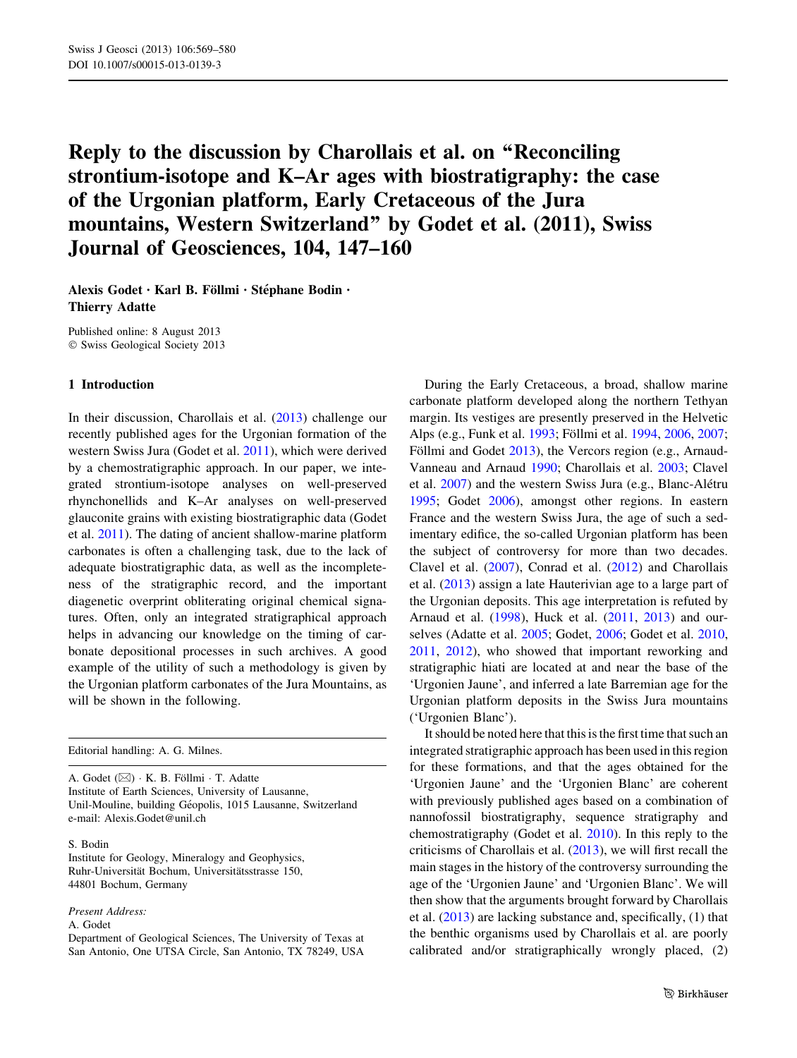# Reply to the discussion by Charollais et al. on ''Reconciling strontium-isotope and K–Ar ages with biostratigraphy: the case of the Urgonian platform, Early Cretaceous of the Jura mountains, Western Switzerland'' by Godet et al. (2011), Swiss Journal of Geosciences, 104, 147–160

Alexis Godet · Karl B. Föllmi · Stéphane Bodin · Thierry Adatte

Published online: 8 August 2013 © Swiss Geological Society 2013

#### 1 Introduction

In their discussion, Charollais et al. [\(2013](#page-9-0)) challenge our recently published ages for the Urgonian formation of the western Swiss Jura (Godet et al. [2011\)](#page-10-0), which were derived by a chemostratigraphic approach. In our paper, we integrated strontium-isotope analyses on well-preserved rhynchonellids and K–Ar analyses on well-preserved glauconite grains with existing biostratigraphic data (Godet et al. [2011](#page-10-0)). The dating of ancient shallow-marine platform carbonates is often a challenging task, due to the lack of adequate biostratigraphic data, as well as the incompleteness of the stratigraphic record, and the important diagenetic overprint obliterating original chemical signatures. Often, only an integrated stratigraphical approach helps in advancing our knowledge on the timing of carbonate depositional processes in such archives. A good example of the utility of such a methodology is given by the Urgonian platform carbonates of the Jura Mountains, as will be shown in the following.

Editorial handling: A. G. Milnes.

A. Godet  $(\boxtimes) \cdot K$ . B. Föllmi $\cdot T$ . Adatte Institute of Earth Sciences, University of Lausanne, Unil-Mouline, building Géopolis, 1015 Lausanne, Switzerland e-mail: Alexis.Godet@unil.ch

#### S. Bodin

Institute for Geology, Mineralogy and Geophysics, Ruhr-Universität Bochum, Universitätsstrasse 150, 44801 Bochum, Germany

#### Present Address:

A. Godet

During the Early Cretaceous, a broad, shallow marine carbonate platform developed along the northern Tethyan margin. Its vestiges are presently preserved in the Helvetic Alps (e.g., Funk et al. [1993](#page-9-0); Föllmi et al. [1994,](#page-9-0) [2006,](#page-9-0) [2007](#page-9-0); Föllmi and Godet [2013\)](#page-9-0), the Vercors region (e.g., Arnaud-Vanneau and Arnaud [1990;](#page-8-0) Charollais et al. [2003;](#page-9-0) Clavel et al. [2007](#page-9-0)) and the western Swiss Jura (e.g., Blanc-Alétru [1995](#page-8-0); Godet [2006](#page-9-0)), amongst other regions. In eastern France and the western Swiss Jura, the age of such a sedimentary edifice, the so-called Urgonian platform has been the subject of controversy for more than two decades. Clavel et al. [\(2007](#page-9-0)), Conrad et al. [\(2012](#page-9-0)) and Charollais et al. [\(2013](#page-9-0)) assign a late Hauterivian age to a large part of the Urgonian deposits. This age interpretation is refuted by Arnaud et al. [\(1998](#page-8-0)), Huck et al. [\(2011](#page-10-0), [2013](#page-10-0)) and ourselves (Adatte et al. [2005;](#page-8-0) Godet, [2006](#page-9-0); Godet et al. [2010,](#page-10-0) [2011](#page-10-0), [2012](#page-10-0)), who showed that important reworking and stratigraphic hiati are located at and near the base of the 'Urgonien Jaune', and inferred a late Barremian age for the Urgonian platform deposits in the Swiss Jura mountains ('Urgonien Blanc').

It should be noted here that this is the first time that such an integrated stratigraphic approach has been used in this region for these formations, and that the ages obtained for the 'Urgonien Jaune' and the 'Urgonien Blanc' are coherent with previously published ages based on a combination of nannofossil biostratigraphy, sequence stratigraphy and chemostratigraphy (Godet et al. [2010\)](#page-10-0). In this reply to the criticisms of Charollais et al. [\(2013](#page-9-0)), we will first recall the main stages in the history of the controversy surrounding the age of the 'Urgonien Jaune' and 'Urgonien Blanc'. We will then show that the arguments brought forward by Charollais et al. [\(2013](#page-9-0)) are lacking substance and, specifically, (1) that the benthic organisms used by Charollais et al. are poorly calibrated and/or stratigraphically wrongly placed, (2)

Department of Geological Sciences, The University of Texas at San Antonio, One UTSA Circle, San Antonio, TX 78249, USA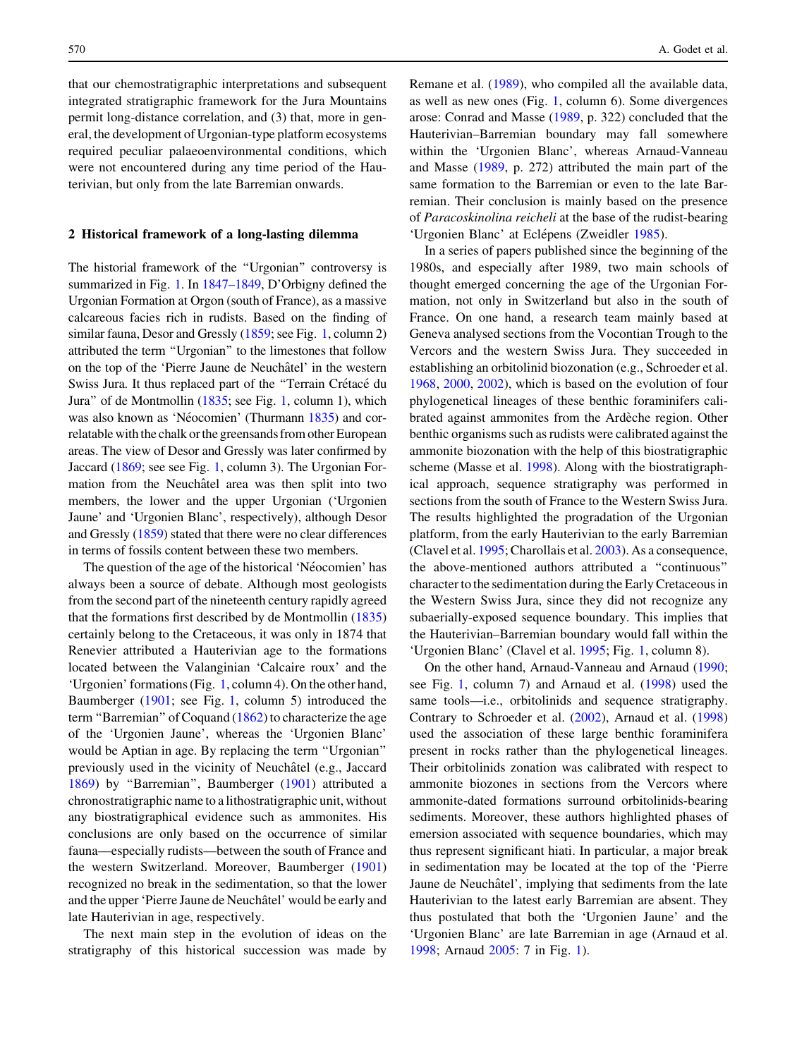that our chemostratigraphic interpretations and subsequent integrated stratigraphic framework for the Jura Mountains permit long-distance correlation, and (3) that, more in general, the development of Urgonian-type platform ecosystems required peculiar palaeoenvironmental conditions, which were not encountered during any time period of the Hauterivian, but only from the late Barremian onwards.

#### 2 Historical framework of a long-lasting dilemma

The historial framework of the ''Urgonian'' controversy is summarized in Fig. [1](#page-2-0). In [1847–1849](#page-9-0), D'Orbigny defined the Urgonian Formation at Orgon (south of France), as a massive calcareous facies rich in rudists. Based on the finding of similar fauna, Desor and Gressly ([1859](#page-9-0); see Fig. [1](#page-2-0), column 2) attributed the term ''Urgonian'' to the limestones that follow on the top of the 'Pierre Jaune de Neuchâtel' in the western Swiss Jura. It thus replaced part of the "Terrain Crétacé du Jura'' of de Montmollin ([1835](#page-9-0); see Fig. [1,](#page-2-0) column 1), which was also known as 'Néocomien' (Thurmann [1835\)](#page-10-0) and correlatable with the chalk or the greensands from other European areas. The view of Desor and Gressly was later confirmed by Jaccard [\(1869;](#page-10-0) see see Fig. [1,](#page-2-0) column 3). The Urgonian Formation from the Neuchâtel area was then split into two members, the lower and the upper Urgonian ('Urgonien Jaune' and 'Urgonien Blanc', respectively), although Desor and Gressly ([1859](#page-9-0)) stated that there were no clear differences in terms of fossils content between these two members.

The question of the age of the historical 'Néocomien' has always been a source of debate. Although most geologists from the second part of the nineteenth century rapidly agreed that the formations first described by de Montmollin ([1835\)](#page-9-0) certainly belong to the Cretaceous, it was only in 1874 that Renevier attributed a Hauterivian age to the formations located between the Valanginian 'Calcaire roux' and the 'Urgonien' formations (Fig. [1](#page-2-0), column 4). On the other hand, Baumberger [\(1901](#page-8-0); see Fig. [1](#page-2-0), column 5) introduced the term ''Barremian'' of Coquand ([1862\)](#page-9-0) to characterize the age of the 'Urgonien Jaune', whereas the 'Urgonien Blanc' would be Aptian in age. By replacing the term ''Urgonian'' previously used in the vicinity of Neuchâtel (e.g., Jaccard [1869\)](#page-10-0) by ''Barremian'', Baumberger ([1901\)](#page-8-0) attributed a chronostratigraphic name to a lithostratigraphic unit, without any biostratigraphical evidence such as ammonites. His conclusions are only based on the occurrence of similar fauna—especially rudists—between the south of France and the western Switzerland. Moreover, Baumberger ([1901\)](#page-8-0) recognized no break in the sedimentation, so that the lower and the upper 'Pierre Jaune de Neuchâtel' would be early and late Hauterivian in age, respectively.

The next main step in the evolution of ideas on the stratigraphy of this historical succession was made by Remane et al. [\(1989](#page-10-0)), who compiled all the available data, as well as new ones (Fig. [1,](#page-2-0) column 6). Some divergences arose: Conrad and Masse ([1989,](#page-9-0) p. 322) concluded that the Hauterivian–Barremian boundary may fall somewhere within the 'Urgonien Blanc', whereas Arnaud-Vanneau and Masse [\(1989](#page-8-0), p. 272) attributed the main part of the same formation to the Barremian or even to the late Barremian. Their conclusion is mainly based on the presence of Paracoskinolina reicheli at the base of the rudist-bearing 'Urgonien Blanc' at Eclépens (Zweidler [1985](#page-11-0)).

In a series of papers published since the beginning of the 1980s, and especially after 1989, two main schools of thought emerged concerning the age of the Urgonian Formation, not only in Switzerland but also in the south of France. On one hand, a research team mainly based at Geneva analysed sections from the Vocontian Trough to the Vercors and the western Swiss Jura. They succeeded in establishing an orbitolinid biozonation (e.g., Schroeder et al. [1968](#page-10-0), [2000](#page-10-0), [2002\)](#page-10-0), which is based on the evolution of four phylogenetical lineages of these benthic foraminifers calibrated against ammonites from the Ardèche region. Other benthic organisms such as rudists were calibrated against the ammonite biozonation with the help of this biostratigraphic scheme (Masse et al. [1998](#page-10-0)). Along with the biostratigraphical approach, sequence stratigraphy was performed in sections from the south of France to the Western Swiss Jura. The results highlighted the progradation of the Urgonian platform, from the early Hauterivian to the early Barremian (Clavel et al. [1995](#page-9-0); Charollais et al. [2003\)](#page-9-0). As a consequence, the above-mentioned authors attributed a ''continuous'' character to the sedimentation during the Early Cretaceous in the Western Swiss Jura, since they did not recognize any subaerially-exposed sequence boundary. This implies that the Hauterivian–Barremian boundary would fall within the 'Urgonien Blanc' (Clavel et al. [1995;](#page-9-0) Fig. [1](#page-2-0), column 8).

On the other hand, Arnaud-Vanneau and Arnaud [\(1990](#page-8-0); see Fig. [1](#page-2-0), column 7) and Arnaud et al. [\(1998](#page-8-0)) used the same tools—i.e., orbitolinids and sequence stratigraphy. Contrary to Schroeder et al. ([2002\)](#page-10-0), Arnaud et al. ([1998\)](#page-8-0) used the association of these large benthic foraminifera present in rocks rather than the phylogenetical lineages. Their orbitolinids zonation was calibrated with respect to ammonite biozones in sections from the Vercors where ammonite-dated formations surround orbitolinids-bearing sediments. Moreover, these authors highlighted phases of emersion associated with sequence boundaries, which may thus represent significant hiati. In particular, a major break in sedimentation may be located at the top of the 'Pierre Jaune de Neuchâtel', implying that sediments from the late Hauterivian to the latest early Barremian are absent. They thus postulated that both the 'Urgonien Jaune' and the 'Urgonien Blanc' are late Barremian in age (Arnaud et al. [1998](#page-8-0); Arnaud [2005](#page-8-0): 7 in Fig. [1](#page-2-0)).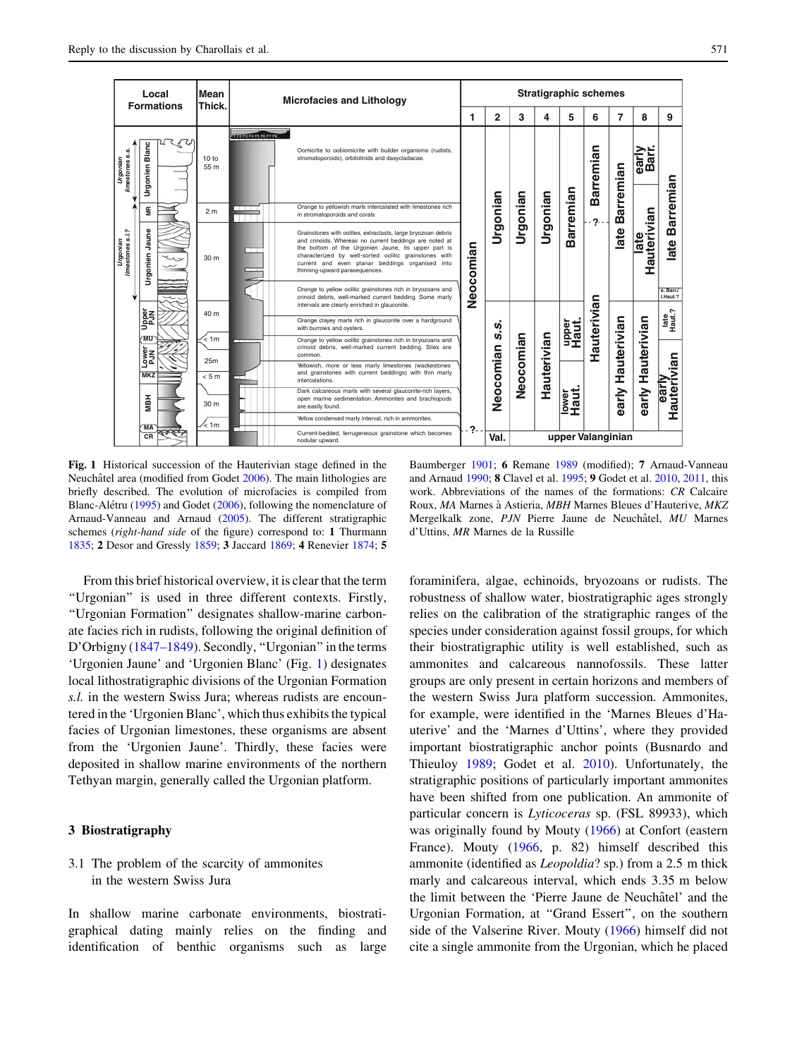<span id="page-2-0"></span>

Fig. 1 Historical succession of the Hauterivian stage defined in the Neuchâtel area (modified from Godet [2006](#page-9-0)). The main lithologies are briefly described. The evolution of microfacies is compiled from Blanc-Alétru [\(1995](#page-8-0)) and Godet [\(2006](#page-9-0)), following the nomenclature of Arnaud-Vanneau and Arnaud [\(2005](#page-8-0)). The different stratigraphic schemes (right-hand side of the figure) correspond to: 1 Thurmann [1835;](#page-10-0) 2 Desor and Gressly [1859](#page-9-0); 3 Jaccard [1869](#page-10-0); 4 Renevier [1874](#page-10-0); 5

Baumberger [1901;](#page-8-0) 6 Remane [1989](#page-10-0) (modified); 7 Arnaud-Vanneau and Arnaud [1990](#page-8-0); 8 Clavel et al. [1995;](#page-9-0) 9 Godet et al. [2010](#page-10-0), [2011,](#page-10-0) this work. Abbreviations of the names of the formations: CR Calcaire Roux, MA Marnes à Astieria, MBH Marnes Bleues d'Hauterive, MKZ Mergelkalk zone, PJN Pierre Jaune de Neuchâtel, MU Marnes d'Uttins, MR Marnes de la Russille

From this brief historical overview, it is clear that the term ''Urgonian'' is used in three different contexts. Firstly, ''Urgonian Formation'' designates shallow-marine carbonate facies rich in rudists, following the original definition of D'Orbigny ([1847–1849\)](#page-9-0). Secondly, "Urgonian" in the terms 'Urgonien Jaune' and 'Urgonien Blanc' (Fig. 1) designates local lithostratigraphic divisions of the Urgonian Formation s.l. in the western Swiss Jura; whereas rudists are encountered in the 'Urgonien Blanc', which thus exhibits the typical facies of Urgonian limestones, these organisms are absent from the 'Urgonien Jaune'. Thirdly, these facies were deposited in shallow marine environments of the northern Tethyan margin, generally called the Urgonian platform.

## 3 Biostratigraphy

## 3.1 The problem of the scarcity of ammonites in the western Swiss Jura

In shallow marine carbonate environments, biostratigraphical dating mainly relies on the finding and identification of benthic organisms such as large foraminifera, algae, echinoids, bryozoans or rudists. The robustness of shallow water, biostratigraphic ages strongly relies on the calibration of the stratigraphic ranges of the species under consideration against fossil groups, for which their biostratigraphic utility is well established, such as ammonites and calcareous nannofossils. These latter groups are only present in certain horizons and members of the western Swiss Jura platform succession. Ammonites, for example, were identified in the 'Marnes Bleues d'Hauterive' and the 'Marnes d'Uttins', where they provided important biostratigraphic anchor points (Busnardo and Thieuloy [1989](#page-9-0); Godet et al. [2010\)](#page-10-0). Unfortunately, the stratigraphic positions of particularly important ammonites have been shifted from one publication. An ammonite of particular concern is Lyticoceras sp. (FSL 89933), which was originally found by Mouty ([1966\)](#page-10-0) at Confort (eastern France). Mouty [\(1966](#page-10-0), p. 82) himself described this ammonite (identified as Leopoldia? sp.) from a 2.5 m thick marly and calcareous interval, which ends 3.35 m below the limit between the 'Pierre Jaune de Neuchâtel' and the Urgonian Formation, at ''Grand Essert'', on the southern side of the Valserine River. Mouty ([1966](#page-10-0)) himself did not cite a single ammonite from the Urgonian, which he placed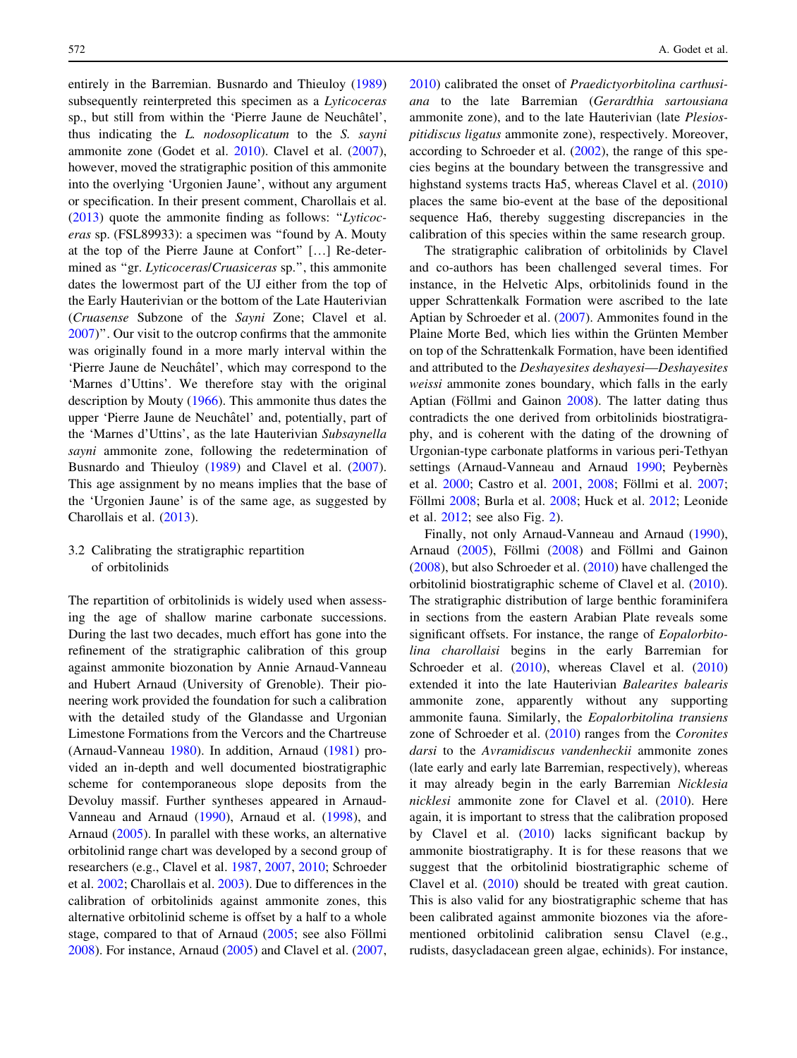entirely in the Barremian. Busnardo and Thieuloy ([1989\)](#page-9-0) subsequently reinterpreted this specimen as a Lyticoceras sp., but still from within the 'Pierre Jaune de Neuchâtel', thus indicating the L. nodosoplicatum to the S. sayni ammonite zone (Godet et al. [2010\)](#page-10-0). Clavel et al. [\(2007](#page-9-0)), however, moved the stratigraphic position of this ammonite into the overlying 'Urgonien Jaune', without any argument or specification. In their present comment, Charollais et al. [\(2013](#page-9-0)) quote the ammonite finding as follows: ''Lyticoceras sp. (FSL89933): a specimen was ''found by A. Mouty at the top of the Pierre Jaune at Confort'' […] Re-determined as "gr. Lyticoceras/Cruasiceras sp.", this ammonite dates the lowermost part of the UJ either from the top of the Early Hauterivian or the bottom of the Late Hauterivian (Cruasense Subzone of the Sayni Zone; Clavel et al. [2007\)](#page-9-0)''. Our visit to the outcrop confirms that the ammonite was originally found in a more marly interval within the 'Pierre Jaune de Neuchâtel', which may correspond to the 'Marnes d'Uttins'. We therefore stay with the original description by Mouty [\(1966](#page-10-0)). This ammonite thus dates the upper 'Pierre Jaune de Neuchâtel' and, potentially, part of the 'Marnes d'Uttins', as the late Hauterivian Subsaynella sayni ammonite zone, following the redetermination of Busnardo and Thieuloy ([1989\)](#page-9-0) and Clavel et al. [\(2007](#page-9-0)). This age assignment by no means implies that the base of the 'Urgonien Jaune' is of the same age, as suggested by Charollais et al. ([2013\)](#page-9-0).

### 3.2 Calibrating the stratigraphic repartition of orbitolinids

The repartition of orbitolinids is widely used when assessing the age of shallow marine carbonate successions. During the last two decades, much effort has gone into the refinement of the stratigraphic calibration of this group against ammonite biozonation by Annie Arnaud-Vanneau and Hubert Arnaud (University of Grenoble). Their pioneering work provided the foundation for such a calibration with the detailed study of the Glandasse and Urgonian Limestone Formations from the Vercors and the Chartreuse (Arnaud-Vanneau [1980](#page-8-0)). In addition, Arnaud [\(1981](#page-8-0)) provided an in-depth and well documented biostratigraphic scheme for contemporaneous slope deposits from the Devoluy massif. Further syntheses appeared in Arnaud-Vanneau and Arnaud ([1990\)](#page-8-0), Arnaud et al. [\(1998](#page-8-0)), and Arnaud [\(2005](#page-8-0)). In parallel with these works, an alternative orbitolinid range chart was developed by a second group of researchers (e.g., Clavel et al. [1987,](#page-9-0) [2007,](#page-9-0) [2010](#page-9-0); Schroeder et al. [2002;](#page-10-0) Charollais et al. [2003\)](#page-9-0). Due to differences in the calibration of orbitolinids against ammonite zones, this alternative orbitolinid scheme is offset by a half to a whole stage, compared to that of Arnaud  $(2005)$ ; see also Föllmi [2008\)](#page-9-0). For instance, Arnaud ([2005](#page-8-0)) and Clavel et al. ([2007,](#page-9-0)

[2010](#page-9-0)) calibrated the onset of Praedictyorbitolina carthusiana to the late Barremian (Gerardthia sartousiana ammonite zone), and to the late Hauterivian (late Plesiospitidiscus ligatus ammonite zone), respectively. Moreover, according to Schroeder et al. [\(2002](#page-10-0)), the range of this species begins at the boundary between the transgressive and highstand systems tracts Ha5, whereas Clavel et al. ([2010\)](#page-9-0) places the same bio-event at the base of the depositional sequence Ha6, thereby suggesting discrepancies in the calibration of this species within the same research group.

The stratigraphic calibration of orbitolinids by Clavel and co-authors has been challenged several times. For instance, in the Helvetic Alps, orbitolinids found in the upper Schrattenkalk Formation were ascribed to the late Aptian by Schroeder et al. ([2007\)](#page-10-0). Ammonites found in the Plaine Morte Bed, which lies within the Grünten Member on top of the Schrattenkalk Formation, have been identified and attributed to the Deshayesites deshayesi—Deshayesites weissi ammonite zones boundary, which falls in the early Aptian (Föllmi and Gainon  $2008$ ). The latter dating thus contradicts the one derived from orbitolinids biostratigraphy, and is coherent with the dating of the drowning of Urgonian-type carbonate platforms in various peri-Tethyan settings (Arnaud-Vanneau and Arnaud [1990;](#page-8-0) Peybernès et al. [2000](#page-10-0); Castro et al. [2001,](#page-9-0) [2008](#page-9-0); Föllmi et al. [2007](#page-9-0); Föllmi [2008](#page-9-0); Burla et al. 2008; Huck et al. [2012](#page-10-0); Leonide et al. [2012;](#page-10-0) see also Fig. [2\)](#page-4-0).

Finally, not only Arnaud-Vanneau and Arnaud [\(1990](#page-8-0)), Arnaud  $(2005)$  $(2005)$ , Föllmi  $(2008)$  $(2008)$  and Föllmi and Gainon [\(2008](#page-9-0)), but also Schroeder et al. [\(2010](#page-10-0)) have challenged the orbitolinid biostratigraphic scheme of Clavel et al. [\(2010](#page-9-0)). The stratigraphic distribution of large benthic foraminifera in sections from the eastern Arabian Plate reveals some significant offsets. For instance, the range of *Eopalorbito*lina charollaisi begins in the early Barremian for Schroeder et al. [\(2010](#page-10-0)), whereas Clavel et al. ([2010\)](#page-9-0) extended it into the late Hauterivian Balearites balearis ammonite zone, apparently without any supporting ammonite fauna. Similarly, the Eopalorbitolina transiens zone of Schroeder et al. ([2010\)](#page-10-0) ranges from the Coronites darsi to the Avramidiscus vandenheckii ammonite zones (late early and early late Barremian, respectively), whereas it may already begin in the early Barremian Nicklesia nicklesi ammonite zone for Clavel et al. [\(2010](#page-9-0)). Here again, it is important to stress that the calibration proposed by Clavel et al. [\(2010](#page-9-0)) lacks significant backup by ammonite biostratigraphy. It is for these reasons that we suggest that the orbitolinid biostratigraphic scheme of Clavel et al. [\(2010](#page-9-0)) should be treated with great caution. This is also valid for any biostratigraphic scheme that has been calibrated against ammonite biozones via the aforementioned orbitolinid calibration sensu Clavel (e.g., rudists, dasycladacean green algae, echinids). For instance,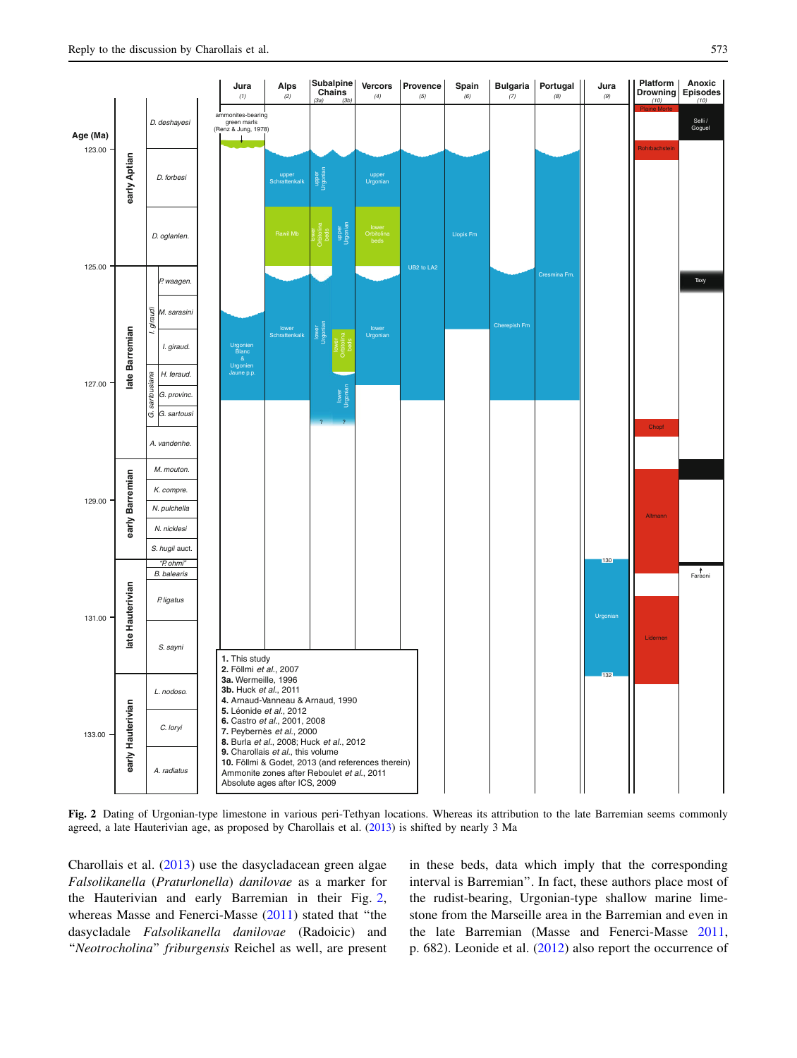<span id="page-4-0"></span>

Fig. 2 Dating of Urgonian-type limestone in various peri-Tethyan locations. Whereas its attribution to the late Barremian seems commonly agreed, a late Hauterivian age, as proposed by Charollais et al. ([2013\)](#page-9-0) is shifted by nearly 3 Ma

Charollais et al. [\(2013](#page-9-0)) use the dasycladacean green algae Falsolikanella (Praturlonella) danilovae as a marker for the Hauterivian and early Barremian in their Fig. 2, whereas Masse and Fenerci-Masse [\(2011](#page-10-0)) stated that ''the dasycladale Falsolikanella danilovae (Radoicic) and "Neotrocholina" friburgensis Reichel as well, are present in these beds, data which imply that the corresponding interval is Barremian''. In fact, these authors place most of the rudist-bearing, Urgonian-type shallow marine limestone from the Marseille area in the Barremian and even in the late Barremian (Masse and Fenerci-Masse [2011,](#page-10-0) p. 682). Leonide et al. ([2012\)](#page-10-0) also report the occurrence of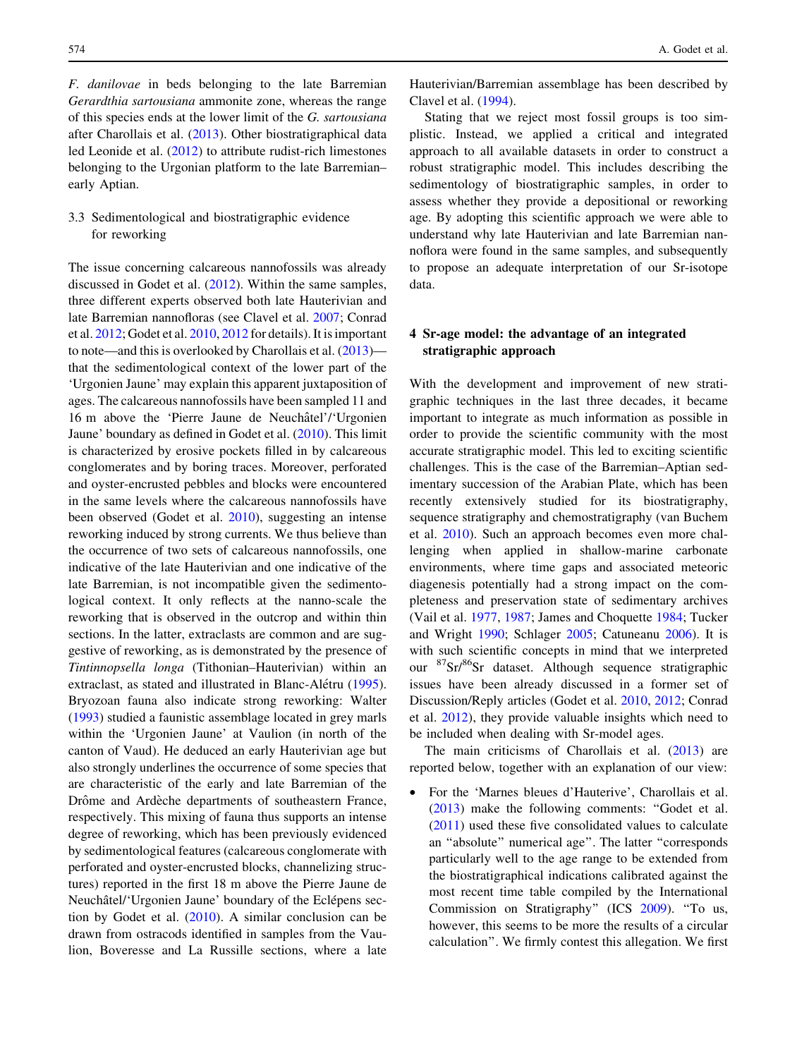F. danilovae in beds belonging to the late Barremian Gerardthia sartousiana ammonite zone, whereas the range of this species ends at the lower limit of the G. sartousiana after Charollais et al. ([2013\)](#page-9-0). Other biostratigraphical data led Leonide et al. [\(2012](#page-10-0)) to attribute rudist-rich limestones belonging to the Urgonian platform to the late Barremian– early Aptian.

# 3.3 Sedimentological and biostratigraphic evidence for reworking

The issue concerning calcareous nannofossils was already discussed in Godet et al. [\(2012](#page-10-0)). Within the same samples, three different experts observed both late Hauterivian and late Barremian nannofloras (see Clavel et al. [2007](#page-9-0); Conrad et al. [2012](#page-9-0); Godet et al. [2010,](#page-10-0) [2012](#page-10-0) for details). It is important to note—and this is overlooked by Charollais et al. ([2013\)](#page-9-0) that the sedimentological context of the lower part of the 'Urgonien Jaune' may explain this apparent juxtaposition of ages. The calcareous nannofossils have been sampled 11 and 16 m above the 'Pierre Jaune de Neuchâtel'/'Urgonien Jaune' boundary as defined in Godet et al. [\(2010](#page-10-0)). This limit is characterized by erosive pockets filled in by calcareous conglomerates and by boring traces. Moreover, perforated and oyster-encrusted pebbles and blocks were encountered in the same levels where the calcareous nannofossils have been observed (Godet et al. [2010\)](#page-10-0), suggesting an intense reworking induced by strong currents. We thus believe than the occurrence of two sets of calcareous nannofossils, one indicative of the late Hauterivian and one indicative of the late Barremian, is not incompatible given the sedimentological context. It only reflects at the nanno-scale the reworking that is observed in the outcrop and within thin sections. In the latter, extraclasts are common and are suggestive of reworking, as is demonstrated by the presence of Tintinnopsella longa (Tithonian–Hauterivian) within an extraclast, as stated and illustrated in Blanc-Alétru [\(1995](#page-8-0)). Bryozoan fauna also indicate strong reworking: Walter [\(1993](#page-11-0)) studied a faunistic assemblage located in grey marls within the 'Urgonien Jaune' at Vaulion (in north of the canton of Vaud). He deduced an early Hauterivian age but also strongly underlines the occurrence of some species that are characteristic of the early and late Barremian of the Drôme and Ardèche departments of southeastern France, respectively. This mixing of fauna thus supports an intense degree of reworking, which has been previously evidenced by sedimentological features (calcareous conglomerate with perforated and oyster-encrusted blocks, channelizing structures) reported in the first 18 m above the Pierre Jaune de Neuchâtel/'Urgonien Jaune' boundary of the Eclépens section by Godet et al. ([2010](#page-10-0)). A similar conclusion can be drawn from ostracods identified in samples from the Vaulion, Boveresse and La Russille sections, where a late Hauterivian/Barremian assemblage has been described by Clavel et al. [\(1994](#page-9-0)).

Stating that we reject most fossil groups is too simplistic. Instead, we applied a critical and integrated approach to all available datasets in order to construct a robust stratigraphic model. This includes describing the sedimentology of biostratigraphic samples, in order to assess whether they provide a depositional or reworking age. By adopting this scientific approach we were able to understand why late Hauterivian and late Barremian nannoflora were found in the same samples, and subsequently to propose an adequate interpretation of our Sr-isotope data.

## 4 Sr-age model: the advantage of an integrated stratigraphic approach

With the development and improvement of new stratigraphic techniques in the last three decades, it became important to integrate as much information as possible in order to provide the scientific community with the most accurate stratigraphic model. This led to exciting scientific challenges. This is the case of the Barremian–Aptian sedimentary succession of the Arabian Plate, which has been recently extensively studied for its biostratigraphy, sequence stratigraphy and chemostratigraphy (van Buchem et al. [2010\)](#page-11-0). Such an approach becomes even more challenging when applied in shallow-marine carbonate environments, where time gaps and associated meteoric diagenesis potentially had a strong impact on the completeness and preservation state of sedimentary archives (Vail et al. [1977,](#page-11-0) [1987;](#page-10-0) James and Choquette [1984](#page-10-0); Tucker and Wright [1990](#page-10-0); Schlager [2005](#page-10-0); Catuneanu [2006](#page-9-0)). It is with such scientific concepts in mind that we interpreted our 87Sr/86Sr dataset. Although sequence stratigraphic issues have been already discussed in a former set of Discussion/Reply articles (Godet et al. [2010](#page-10-0), [2012](#page-10-0); Conrad et al. [2012](#page-9-0)), they provide valuable insights which need to be included when dealing with Sr-model ages.

The main criticisms of Charollais et al. ([2013\)](#page-9-0) are reported below, together with an explanation of our view:

• For the 'Marnes bleues d'Hauterive', Charollais et al. [\(2013](#page-9-0)) make the following comments: ''Godet et al. [\(2011](#page-10-0)) used these five consolidated values to calculate an ''absolute'' numerical age''. The latter ''corresponds particularly well to the age range to be extended from the biostratigraphical indications calibrated against the most recent time table compiled by the International Commission on Stratigraphy'' (ICS [2009\)](#page-10-0). ''To us, however, this seems to be more the results of a circular calculation''. We firmly contest this allegation. We first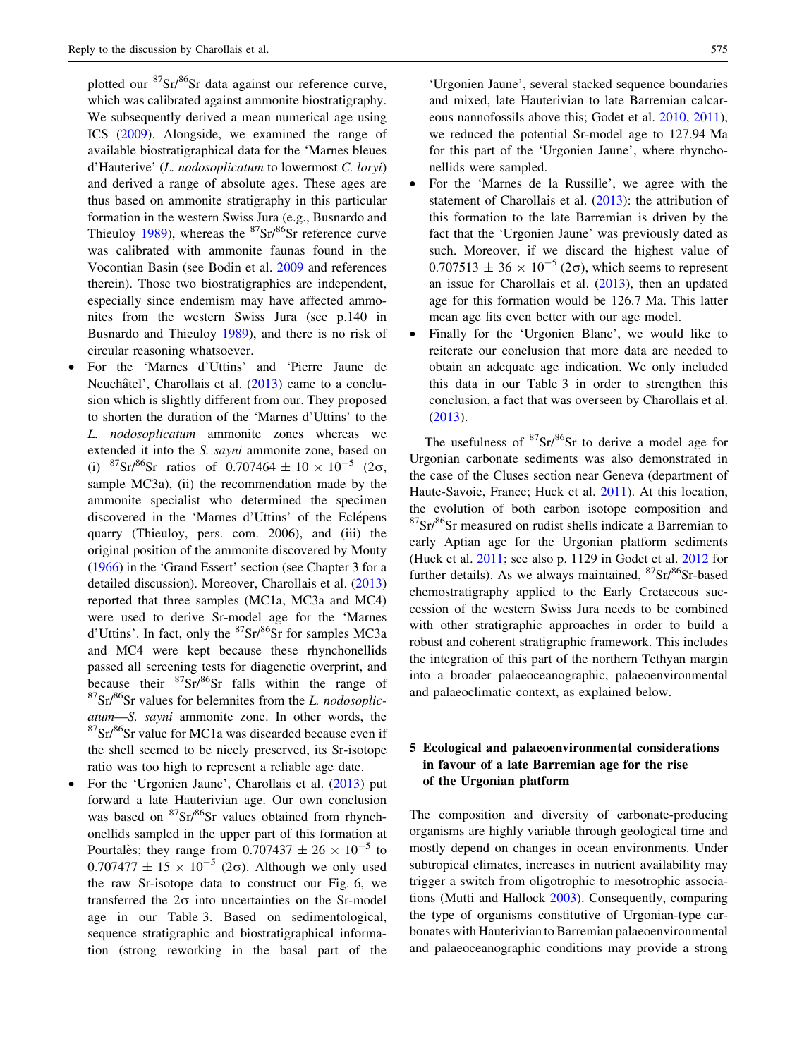plotted our  ${}^{87}Sr/{}^{86}Sr$  data against our reference curve, which was calibrated against ammonite biostratigraphy. We subsequently derived a mean numerical age using ICS [\(2009](#page-10-0)). Alongside, we examined the range of available biostratigraphical data for the 'Marnes bleues d'Hauterive' (L. nodosoplicatum to lowermost C. loryi) and derived a range of absolute ages. These ages are thus based on ammonite stratigraphy in this particular formation in the western Swiss Jura (e.g., Busnardo and Thieuloy [1989](#page-9-0)), whereas the  ${}^{87}Sr/{}^{86}Sr$  reference curve was calibrated with ammonite faunas found in the Vocontian Basin (see Bodin et al. [2009](#page-8-0) and references therein). Those two biostratigraphies are independent, especially since endemism may have affected ammonites from the western Swiss Jura (see p.140 in Busnardo and Thieuloy [1989\)](#page-9-0), and there is no risk of circular reasoning whatsoever.

- For the 'Marnes d'Uttins' and 'Pierre Jaune de Neuchâtel', Charollais et al. ([2013\)](#page-9-0) came to a conclusion which is slightly different from our. They proposed to shorten the duration of the 'Marnes d'Uttins' to the L. nodosoplicatum ammonite zones whereas we extended it into the S. sayni ammonite zone, based on (i)  ${}^{87}Sr/{}^{86}Sr$  ratios of 0.707464  $\pm$  10  $\times$  10<sup>-5</sup> (2 $\sigma$ , sample MC3a), (ii) the recommendation made by the ammonite specialist who determined the specimen discovered in the 'Marnes d'Uttins' of the Eclépens quarry (Thieuloy, pers. com. 2006), and (iii) the original position of the ammonite discovered by Mouty ([1966\)](#page-10-0) in the 'Grand Essert' section (see Chapter 3 for a detailed discussion). Moreover, Charollais et al. ([2013\)](#page-9-0) reported that three samples (MC1a, MC3a and MC4) were used to derive Sr-model age for the 'Marnes d'Uttins'. In fact, only the  ${}^{87}Sr/{}^{86}Sr$  for samples MC3a and MC4 were kept because these rhynchonellids passed all screening tests for diagenetic overprint, and because their  ${}^{87}Sr/{}^{86}Sr$  falls within the range of  $87\text{Sr}/86\text{Sr}$  values for belemnites from the L. nodosoplicatum—S. sayni ammonite zone. In other words, the  ${}^{87}Sr/{}^{86}Sr$  value for MC1a was discarded because even if the shell seemed to be nicely preserved, its Sr-isotope ratio was too high to represent a reliable age date.
- For the 'Urgonien Jaune', Charollais et al. [\(2013](#page-9-0)) put forward a late Hauterivian age. Our own conclusion was based on  ${}^{87}Sr/{}^{86}Sr$  values obtained from rhynchonellids sampled in the upper part of this formation at Pourtales; they range from  $0.707437 \pm 26 \times 10^{-5}$  to  $0.707477 \pm 15 \times 10^{-5}$  (2 $\sigma$ ). Although we only used the raw Sr-isotope data to construct our Fig. 6, we transferred the  $2\sigma$  into uncertainties on the Sr-model age in our Table 3. Based on sedimentological, sequence stratigraphic and biostratigraphical information (strong reworking in the basal part of the

'Urgonien Jaune', several stacked sequence boundaries and mixed, late Hauterivian to late Barremian calcareous nannofossils above this; Godet et al. [2010,](#page-10-0) [2011](#page-10-0)), we reduced the potential Sr-model age to 127.94 Ma for this part of the 'Urgonien Jaune', where rhynchonellids were sampled.

- For the 'Marnes de la Russille', we agree with the statement of Charollais et al. ([2013\)](#page-9-0): the attribution of this formation to the late Barremian is driven by the fact that the 'Urgonien Jaune' was previously dated as such. Moreover, if we discard the highest value of  $0.707513 \pm 36 \times 10^{-5}$  (2 $\sigma$ ), which seems to represent an issue for Charollais et al. ([2013\)](#page-9-0), then an updated age for this formation would be 126.7 Ma. This latter mean age fits even better with our age model.
- Finally for the 'Urgonien Blanc', we would like to reiterate our conclusion that more data are needed to obtain an adequate age indication. We only included this data in our Table 3 in order to strengthen this conclusion, a fact that was overseen by Charollais et al. [\(2013](#page-9-0)).

The usefulness of  ${}^{87}Sr/{}^{86}Sr$  to derive a model age for Urgonian carbonate sediments was also demonstrated in the case of the Cluses section near Geneva (department of Haute-Savoie, France; Huck et al. [2011\)](#page-10-0). At this location, the evolution of both carbon isotope composition and  $87Sr$ <sup>86</sup>Sr measured on rudist shells indicate a Barremian to early Aptian age for the Urgonian platform sediments (Huck et al. [2011](#page-10-0); see also p. 1129 in Godet et al. [2012](#page-10-0) for further details). As we always maintained,  ${}^{87}Sr/{}^{86}Sr$ -based chemostratigraphy applied to the Early Cretaceous succession of the western Swiss Jura needs to be combined with other stratigraphic approaches in order to build a robust and coherent stratigraphic framework. This includes the integration of this part of the northern Tethyan margin into a broader palaeoceanographic, palaeoenvironmental and palaeoclimatic context, as explained below.

# 5 Ecological and palaeoenvironmental considerations in favour of a late Barremian age for the rise of the Urgonian platform

The composition and diversity of carbonate-producing organisms are highly variable through geological time and mostly depend on changes in ocean environments. Under subtropical climates, increases in nutrient availability may trigger a switch from oligotrophic to mesotrophic associations (Mutti and Hallock [2003](#page-10-0)). Consequently, comparing the type of organisms constitutive of Urgonian-type carbonates with Hauterivian to Barremian palaeoenvironmental and palaeoceanographic conditions may provide a strong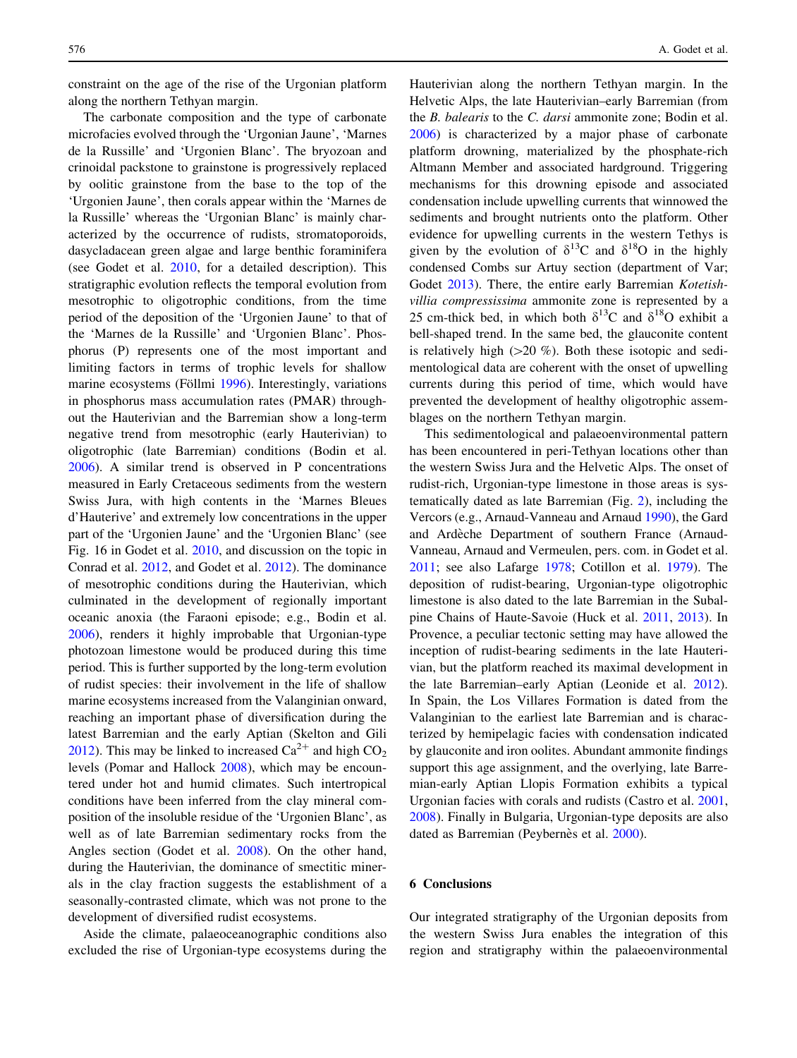constraint on the age of the rise of the Urgonian platform along the northern Tethyan margin.

The carbonate composition and the type of carbonate microfacies evolved through the 'Urgonian Jaune', 'Marnes de la Russille' and 'Urgonien Blanc'. The bryozoan and crinoidal packstone to grainstone is progressively replaced by oolitic grainstone from the base to the top of the 'Urgonien Jaune', then corals appear within the 'Marnes de la Russille' whereas the 'Urgonian Blanc' is mainly characterized by the occurrence of rudists, stromatoporoids, dasycladacean green algae and large benthic foraminifera (see Godet et al. [2010](#page-10-0), for a detailed description). This stratigraphic evolution reflects the temporal evolution from mesotrophic to oligotrophic conditions, from the time period of the deposition of the 'Urgonien Jaune' to that of the 'Marnes de la Russille' and 'Urgonien Blanc'. Phosphorus (P) represents one of the most important and limiting factors in terms of trophic levels for shallow marine ecosystems (Föllmi [1996](#page-9-0)). Interestingly, variations in phosphorus mass accumulation rates (PMAR) throughout the Hauterivian and the Barremian show a long-term negative trend from mesotrophic (early Hauterivian) to oligotrophic (late Barremian) conditions (Bodin et al. [2006\)](#page-9-0). A similar trend is observed in P concentrations measured in Early Cretaceous sediments from the western Swiss Jura, with high contents in the 'Marnes Bleues d'Hauterive' and extremely low concentrations in the upper part of the 'Urgonien Jaune' and the 'Urgonien Blanc' (see Fig. 16 in Godet et al. [2010,](#page-10-0) and discussion on the topic in Conrad et al. [2012,](#page-9-0) and Godet et al. [2012](#page-10-0)). The dominance of mesotrophic conditions during the Hauterivian, which culminated in the development of regionally important oceanic anoxia (the Faraoni episode; e.g., Bodin et al. [2006\)](#page-9-0), renders it highly improbable that Urgonian-type photozoan limestone would be produced during this time period. This is further supported by the long-term evolution of rudist species: their involvement in the life of shallow marine ecosystems increased from the Valanginian onward, reaching an important phase of diversification during the latest Barremian and the early Aptian (Skelton and Gili [2012\)](#page-10-0). This may be linked to increased  $Ca^{2+}$  and high  $CO<sub>2</sub>$ levels (Pomar and Hallock [2008\)](#page-10-0), which may be encountered under hot and humid climates. Such intertropical conditions have been inferred from the clay mineral composition of the insoluble residue of the 'Urgonien Blanc', as well as of late Barremian sedimentary rocks from the Angles section (Godet et al. [2008\)](#page-10-0). On the other hand, during the Hauterivian, the dominance of smectitic minerals in the clay fraction suggests the establishment of a seasonally-contrasted climate, which was not prone to the development of diversified rudist ecosystems.

Aside the climate, palaeoceanographic conditions also excluded the rise of Urgonian-type ecosystems during the Hauterivian along the northern Tethyan margin. In the Helvetic Alps, the late Hauterivian–early Barremian (from the B. balearis to the C. darsi ammonite zone; Bodin et al. [2006](#page-9-0)) is characterized by a major phase of carbonate platform drowning, materialized by the phosphate-rich Altmann Member and associated hardground. Triggering mechanisms for this drowning episode and associated condensation include upwelling currents that winnowed the sediments and brought nutrients onto the platform. Other evidence for upwelling currents in the western Tethys is given by the evolution of  $\delta^{13}$ C and  $\delta^{18}$ O in the highly condensed Combs sur Artuy section (department of Var; Godet [2013\)](#page-10-0). There, the entire early Barremian Kotetishvillia compressissima ammonite zone is represented by a 25 cm-thick bed, in which both  $\delta^{13}$ C and  $\delta^{18}$ O exhibit a bell-shaped trend. In the same bed, the glauconite content is relatively high  $(>20 \%)$ . Both these isotopic and sedimentological data are coherent with the onset of upwelling currents during this period of time, which would have prevented the development of healthy oligotrophic assemblages on the northern Tethyan margin.

This sedimentological and palaeoenvironmental pattern has been encountered in peri-Tethyan locations other than the western Swiss Jura and the Helvetic Alps. The onset of rudist-rich, Urgonian-type limestone in those areas is systematically dated as late Barremian (Fig. [2\)](#page-4-0), including the Vercors (e.g., Arnaud-Vanneau and Arnaud [1990\)](#page-8-0), the Gard and Ardèche Department of southern France (Arnaud-Vanneau, Arnaud and Vermeulen, pers. com. in Godet et al. [2011](#page-10-0); see also Lafarge [1978](#page-10-0); Cotillon et al. [1979](#page-9-0)). The deposition of rudist-bearing, Urgonian-type oligotrophic limestone is also dated to the late Barremian in the Subalpine Chains of Haute-Savoie (Huck et al. [2011,](#page-10-0) [2013\)](#page-10-0). In Provence, a peculiar tectonic setting may have allowed the inception of rudist-bearing sediments in the late Hauterivian, but the platform reached its maximal development in the late Barremian–early Aptian (Leonide et al. [2012](#page-10-0)). In Spain, the Los Villares Formation is dated from the Valanginian to the earliest late Barremian and is characterized by hemipelagic facies with condensation indicated by glauconite and iron oolites. Abundant ammonite findings support this age assignment, and the overlying, late Barremian-early Aptian Llopis Formation exhibits a typical Urgonian facies with corals and rudists (Castro et al. [2001,](#page-9-0) [2008](#page-9-0)). Finally in Bulgaria, Urgonian-type deposits are also dated as Barremian (Peybernes et al. [2000\)](#page-10-0).

## 6 Conclusions

Our integrated stratigraphy of the Urgonian deposits from the western Swiss Jura enables the integration of this region and stratigraphy within the palaeoenvironmental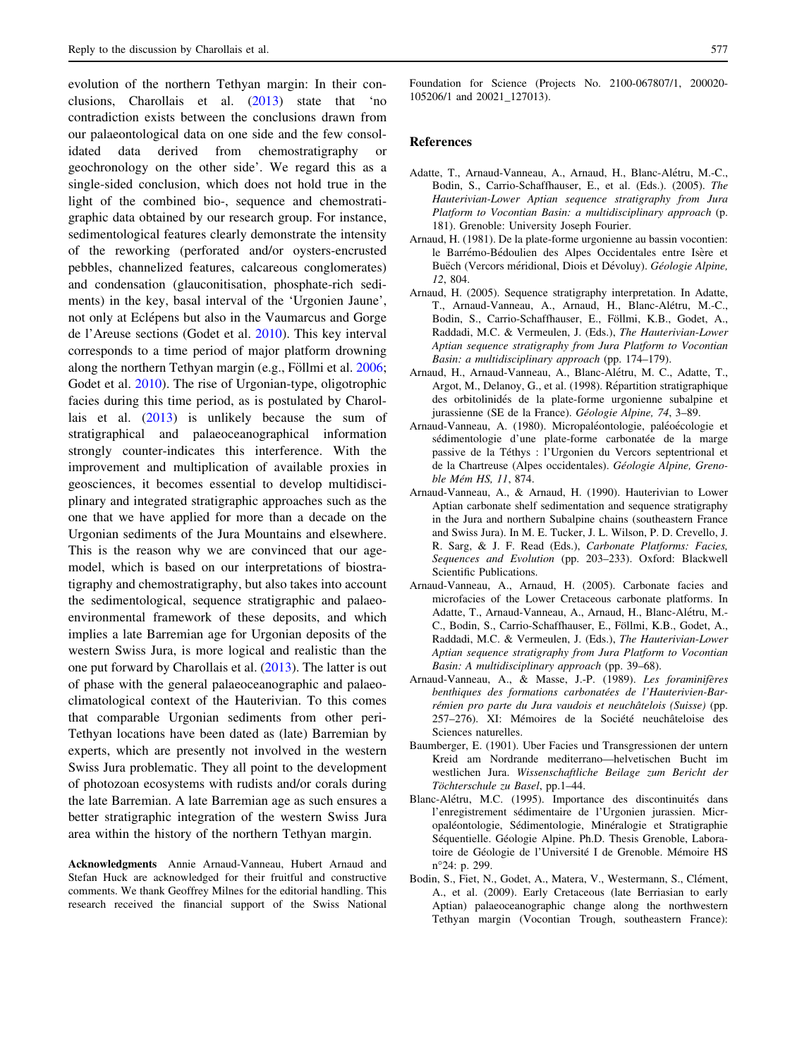<span id="page-8-0"></span>evolution of the northern Tethyan margin: In their conclusions, Charollais et al. ([2013\)](#page-9-0) state that 'no contradiction exists between the conclusions drawn from our palaeontological data on one side and the few consolidated data derived from chemostratigraphy or geochronology on the other side'. We regard this as a single-sided conclusion, which does not hold true in the light of the combined bio-, sequence and chemostratigraphic data obtained by our research group. For instance, sedimentological features clearly demonstrate the intensity of the reworking (perforated and/or oysters-encrusted pebbles, channelized features, calcareous conglomerates) and condensation (glauconitisation, phosphate-rich sediments) in the key, basal interval of the 'Urgonien Jaune', not only at Eclépens but also in the Vaumarcus and Gorge de l'Areuse sections (Godet et al. [2010\)](#page-10-0). This key interval corresponds to a time period of major platform drowning along the northern Tethyan margin (e.g., Föllmi et al. [2006](#page-9-0); Godet et al. [2010\)](#page-10-0). The rise of Urgonian-type, oligotrophic facies during this time period, as is postulated by Charollais et al. [\(2013](#page-9-0)) is unlikely because the sum of stratigraphical and palaeoceanographical information strongly counter-indicates this interference. With the improvement and multiplication of available proxies in geosciences, it becomes essential to develop multidisciplinary and integrated stratigraphic approaches such as the one that we have applied for more than a decade on the Urgonian sediments of the Jura Mountains and elsewhere. This is the reason why we are convinced that our agemodel, which is based on our interpretations of biostratigraphy and chemostratigraphy, but also takes into account the sedimentological, sequence stratigraphic and palaeoenvironmental framework of these deposits, and which implies a late Barremian age for Urgonian deposits of the western Swiss Jura, is more logical and realistic than the one put forward by Charollais et al. [\(2013](#page-9-0)). The latter is out of phase with the general palaeoceanographic and palaeoclimatological context of the Hauterivian. To this comes that comparable Urgonian sediments from other peri-Tethyan locations have been dated as (late) Barremian by experts, which are presently not involved in the western Swiss Jura problematic. They all point to the development of photozoan ecosystems with rudists and/or corals during the late Barremian. A late Barremian age as such ensures a better stratigraphic integration of the western Swiss Jura area within the history of the northern Tethyan margin.

Acknowledgments Annie Arnaud-Vanneau, Hubert Arnaud and Stefan Huck are acknowledged for their fruitful and constructive comments. We thank Geoffrey Milnes for the editorial handling. This research received the financial support of the Swiss National Foundation for Science (Projects No. 2100-067807/1, 200020- 105206/1 and 20021\_127013).

#### References

- Adatte, T., Arnaud-Vanneau, A., Arnaud, H., Blanc-Alétru, M.-C., Bodin, S., Carrio-Schaffhauser, E., et al. (Eds.). (2005). The Hauterivian-Lower Aptian sequence stratigraphy from Jura Platform to Vocontian Basin: a multidisciplinary approach (p. 181). Grenoble: University Joseph Fourier.
- Arnaud, H. (1981). De la plate-forme urgonienne au bassin vocontien: le Barrémo-Bédoulien des Alpes Occidentales entre Isère et Buëch (Vercors méridional, Diois et Dévoluy). Géologie Alpine, 12, 804.
- Arnaud, H. (2005). Sequence stratigraphy interpretation. In Adatte, T., Arnaud-Vanneau, A., Arnaud, H., Blanc-Alétru, M.-C., Bodin, S., Carrio-Schaffhauser, E., Föllmi, K.B., Godet, A., Raddadi, M.C. & Vermeulen, J. (Eds.), The Hauterivian-Lower Aptian sequence stratigraphy from Jura Platform to Vocontian Basin: a multidisciplinary approach (pp. 174–179).
- Arnaud, H., Arnaud-Vanneau, A., Blanc-Alétru, M. C., Adatte, T., Argot, M., Delanoy, G., et al. (1998). Répartition stratigraphique des orbitolinidés de la plate-forme urgonienne subalpine et jurassienne (SE de la France). Géologie Alpine, 74, 3–89.
- Arnaud-Vanneau, A. (1980). Micropaléontologie, paléoécologie et sédimentologie d'une plate-forme carbonatée de la marge passive de la Téthys : l'Urgonien du Vercors septentrional et de la Chartreuse (Alpes occidentales). Géologie Alpine, Grenoble Mém HS, 11, 874.
- Arnaud-Vanneau, A., & Arnaud, H. (1990). Hauterivian to Lower Aptian carbonate shelf sedimentation and sequence stratigraphy in the Jura and northern Subalpine chains (southeastern France and Swiss Jura). In M. E. Tucker, J. L. Wilson, P. D. Crevello, J. R. Sarg, & J. F. Read (Eds.), Carbonate Platforms: Facies, Sequences and Evolution (pp. 203–233). Oxford: Blackwell Scientific Publications.
- Arnaud-Vanneau, A., Arnaud, H. (2005). Carbonate facies and microfacies of the Lower Cretaceous carbonate platforms. In Adatte, T., Arnaud-Vanneau, A., Arnaud, H., Blanc-Alétru, M.-C., Bodin, S., Carrio-Schaffhauser, E., Föllmi, K.B., Godet, A., Raddadi, M.C. & Vermeulen, J. (Eds.), The Hauterivian-Lower Aptian sequence stratigraphy from Jura Platform to Vocontian Basin: A multidisciplinary approach (pp. 39–68).
- Arnaud-Vanneau, A., & Masse, J.-P. (1989). Les foraminifères benthiques des formations carbonatées de l'Hauterivien-Barrémien pro parte du Jura vaudois et neuchâtelois (Suisse) (pp. 257–276). XI: Mémoires de la Société neuchâteloise des Sciences naturelles.
- Baumberger, E. (1901). Uber Facies und Transgressionen der untern Kreid am Nordrande mediterrano—helvetischen Bucht im westlichen Jura. Wissenschaftliche Beilage zum Bericht der Töchterschule zu Basel, pp.1-44.
- Blanc-Alétru, M.C. (1995). Importance des discontinuités dans l'enregistrement sédimentaire de l'Urgonien jurassien. Micropaléontologie, Sédimentologie, Minéralogie et Stratigraphie Séquentielle. Géologie Alpine. Ph.D. Thesis Grenoble, Laboratoire de Géologie de l'Université I de Grenoble. Mémoire HS n24: p. 299.
- Bodin, S., Fiet, N., Godet, A., Matera, V., Westermann, S., Clément, A., et al. (2009). Early Cretaceous (late Berriasian to early Aptian) palaeoceanographic change along the northwestern Tethyan margin (Vocontian Trough, southeastern France):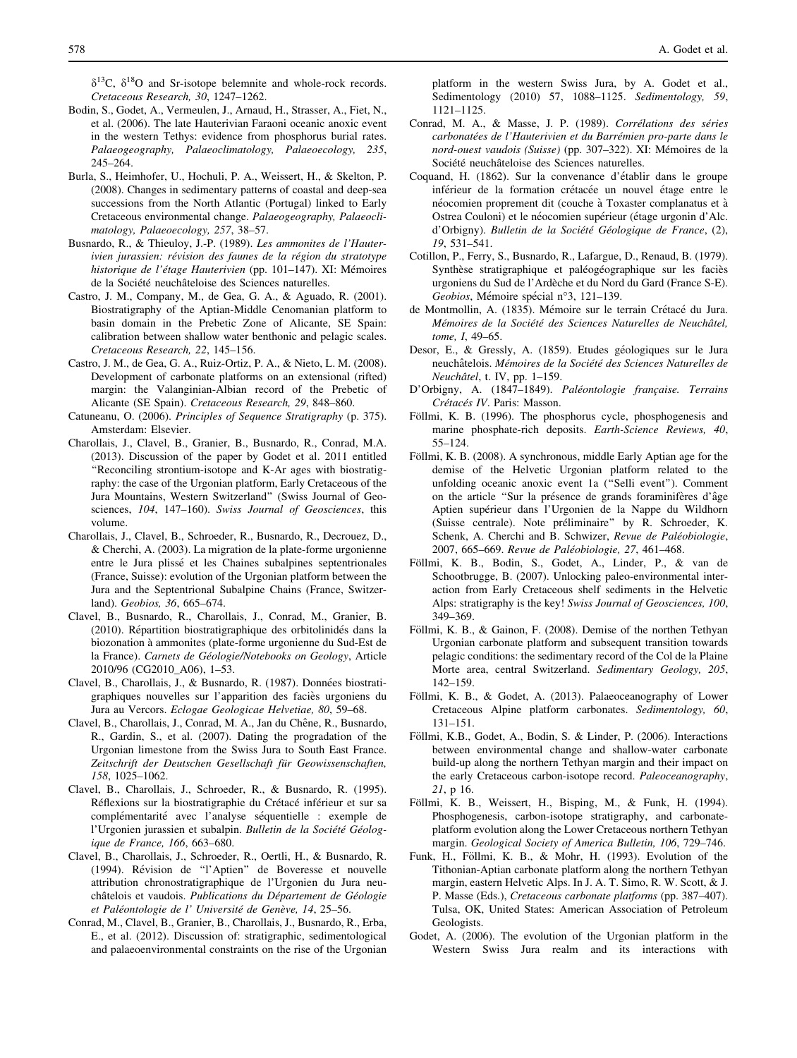<span id="page-9-0"></span> $\delta^{13}$ C,  $\delta^{18}$ O and Sr-isotope belemnite and whole-rock records. Cretaceous Research, 30, 1247–1262.

- Bodin, S., Godet, A., Vermeulen, J., Arnaud, H., Strasser, A., Fiet, N., et al. (2006). The late Hauterivian Faraoni oceanic anoxic event in the western Tethys: evidence from phosphorus burial rates. Palaeogeography, Palaeoclimatology, Palaeoecology, 235, 245–264.
- Burla, S., Heimhofer, U., Hochuli, P. A., Weissert, H., & Skelton, P. (2008). Changes in sedimentary patterns of coastal and deep-sea successions from the North Atlantic (Portugal) linked to Early Cretaceous environmental change. Palaeogeography, Palaeoclimatology, Palaeoecology, 257, 38–57.
- Busnardo, R., & Thieuloy, J.-P. (1989). Les ammonites de l'Hauterivien jurassien: révision des faunes de la région du stratotype historique de l'étage Hauterivien (pp. 101-147). XI: Mémoires de la Société neuchâteloise des Sciences naturelles.
- Castro, J. M., Company, M., de Gea, G. A., & Aguado, R. (2001). Biostratigraphy of the Aptian-Middle Cenomanian platform to basin domain in the Prebetic Zone of Alicante, SE Spain: calibration between shallow water benthonic and pelagic scales. Cretaceous Research, 22, 145–156.
- Castro, J. M., de Gea, G. A., Ruiz-Ortiz, P. A., & Nieto, L. M. (2008). Development of carbonate platforms on an extensional (rifted) margin: the Valanginian-Albian record of the Prebetic of Alicante (SE Spain). Cretaceous Research, 29, 848–860.
- Catuneanu, O. (2006). Principles of Sequence Stratigraphy (p. 375). Amsterdam: Elsevier.
- Charollais, J., Clavel, B., Granier, B., Busnardo, R., Conrad, M.A. (2013). Discussion of the paper by Godet et al. 2011 entitled ''Reconciling strontium-isotope and K-Ar ages with biostratigraphy: the case of the Urgonian platform, Early Cretaceous of the Jura Mountains, Western Switzerland'' (Swiss Journal of Geosciences, 104, 147-160). Swiss Journal of Geosciences, this volume.
- Charollais, J., Clavel, B., Schroeder, R., Busnardo, R., Decrouez, D., & Cherchi, A. (2003). La migration de la plate-forme urgonienne entre le Jura plissé et les Chaines subalpines septentrionales (France, Suisse): evolution of the Urgonian platform between the Jura and the Septentrional Subalpine Chains (France, Switzerland). Geobios, 36, 665–674.
- Clavel, B., Busnardo, R., Charollais, J., Conrad, M., Granier, B. (2010). Répartition biostratigraphique des orbitolinidés dans la biozonation a` ammonites (plate-forme urgonienne du Sud-Est de la France). Carnets de Géologie/Notebooks on Geology, Article 2010/96 (CG2010\_A06), 1–53.
- Clavel, B., Charollais, J., & Busnardo, R. (1987). Données biostratigraphiques nouvelles sur l'apparition des faciès urgoniens du Jura au Vercors. Eclogae Geologicae Helvetiae, 80, 59–68.
- Clavel, B., Charollais, J., Conrad, M. A., Jan du Chêne, R., Busnardo, R., Gardin, S., et al. (2007). Dating the progradation of the Urgonian limestone from the Swiss Jura to South East France. Zeitschrift der Deutschen Gesellschaft für Geowissenschaften, 158, 1025–1062.
- Clavel, B., Charollais, J., Schroeder, R., & Busnardo, R. (1995). Réflexions sur la biostratigraphie du Crétacé inférieur et sur sa complémentarité avec l'analyse séquentielle : exemple de l'Urgonien jurassien et subalpin. Bulletin de la Société Géologique de France, 166, 663–680.
- Clavel, B., Charollais, J., Schroeder, R., Oertli, H., & Busnardo, R. (1994). Révision de "l'Aptien" de Boveresse et nouvelle attribution chronostratigraphique de l'Urgonien du Jura neuchâtelois et vaudois. Publications du Département de Géologie et Paléontologie de l' Université de Genève, 14, 25–56.
- Conrad, M., Clavel, B., Granier, B., Charollais, J., Busnardo, R., Erba, E., et al. (2012). Discussion of: stratigraphic, sedimentological and palaeoenvironmental constraints on the rise of the Urgonian

platform in the western Swiss Jura, by A. Godet et al., Sedimentology (2010) 57, 1088–1125. Sedimentology, 59, 1121–1125.

- Conrad, M. A., & Masse, J. P. (1989). Corrélations des séries carbonatées de l'Hauterivien et du Barrémien pro-parte dans le nord-ouest vaudois (Suisse) (pp. 307-322). XI: Mémoires de la Société neuchâteloise des Sciences naturelles.
- Coquand, H. (1862). Sur la convenance d'établir dans le groupe inférieur de la formation crétacée un nouvel étage entre le néocomien proprement dit (couche à Toxaster complanatus et à Ostrea Couloni) et le néocomien supérieur (étage urgonin d'Alc. d'Orbigny). Bulletin de la Société Géologique de France, (2), 19, 531–541.
- Cotillon, P., Ferry, S., Busnardo, R., Lafargue, D., Renaud, B. (1979). Synthèse stratigraphique et paléogéographique sur les faciès urgoniens du Sud de l'Arde`che et du Nord du Gard (France S-E). Geobios, Mémoire spécial n°3, 121–139.
- de Montmollin, A. (1835). Mémoire sur le terrain Crétacé du Jura. Mémoires de la Société des Sciences Naturelles de Neuchâtel, tome, I, 49–65.
- Desor, E., & Gressly, A. (1859). Etudes géologiques sur le Jura neuchâtelois. Mémoires de la Société des Sciences Naturelles de Neuchâtel, t. IV, pp. 1-159.
- D'Orbigny, A. (1847–1849). Paléontologie française. Terrains Crétacés IV. Paris: Masson.
- Föllmi, K. B. (1996). The phosphorus cycle, phosphogenesis and marine phosphate-rich deposits. Earth-Science Reviews, 40, 55–124.
- Föllmi, K. B. (2008). A synchronous, middle Early Aptian age for the demise of the Helvetic Urgonian platform related to the unfolding oceanic anoxic event 1a (''Selli event''). Comment on the article "Sur la présence de grands foraminifères d'âge Aptien supérieur dans l'Urgonien de la Nappe du Wildhorn (Suisse centrale). Note préliminaire" by R. Schroeder, K. Schenk, A. Cherchi and B. Schwizer, Revue de Paléobiologie, 2007, 665-669. Revue de Paléobiologie, 27, 461-468.
- Föllmi, K. B., Bodin, S., Godet, A., Linder, P., & van de Schootbrugge, B. (2007). Unlocking paleo-environmental interaction from Early Cretaceous shelf sediments in the Helvetic Alps: stratigraphy is the key! Swiss Journal of Geosciences, 100, 349–369.
- Föllmi, K. B., & Gainon, F. (2008). Demise of the northen Tethyan Urgonian carbonate platform and subsequent transition towards pelagic conditions: the sedimentary record of the Col de la Plaine Morte area, central Switzerland. Sedimentary Geology, 205, 142–159.
- Föllmi, K. B., & Godet, A. (2013). Palaeoceanography of Lower Cretaceous Alpine platform carbonates. Sedimentology, 60, 131–151.
- Föllmi, K.B., Godet, A., Bodin, S. & Linder, P. (2006). Interactions between environmental change and shallow-water carbonate build-up along the northern Tethyan margin and their impact on the early Cretaceous carbon-isotope record. Paleoceanography, 21, p 16.
- Föllmi, K. B., Weissert, H., Bisping, M., & Funk, H. (1994). Phosphogenesis, carbon-isotope stratigraphy, and carbonateplatform evolution along the Lower Cretaceous northern Tethyan margin. Geological Society of America Bulletin, 106, 729–746.
- Funk, H., Föllmi, K. B., & Mohr, H. (1993). Evolution of the Tithonian-Aptian carbonate platform along the northern Tethyan margin, eastern Helvetic Alps. In J. A. T. Simo, R. W. Scott, & J. P. Masse (Eds.), Cretaceous carbonate platforms (pp. 387–407). Tulsa, OK, United States: American Association of Petroleum Geologists.
- Godet, A. (2006). The evolution of the Urgonian platform in the Western Swiss Jura realm and its interactions with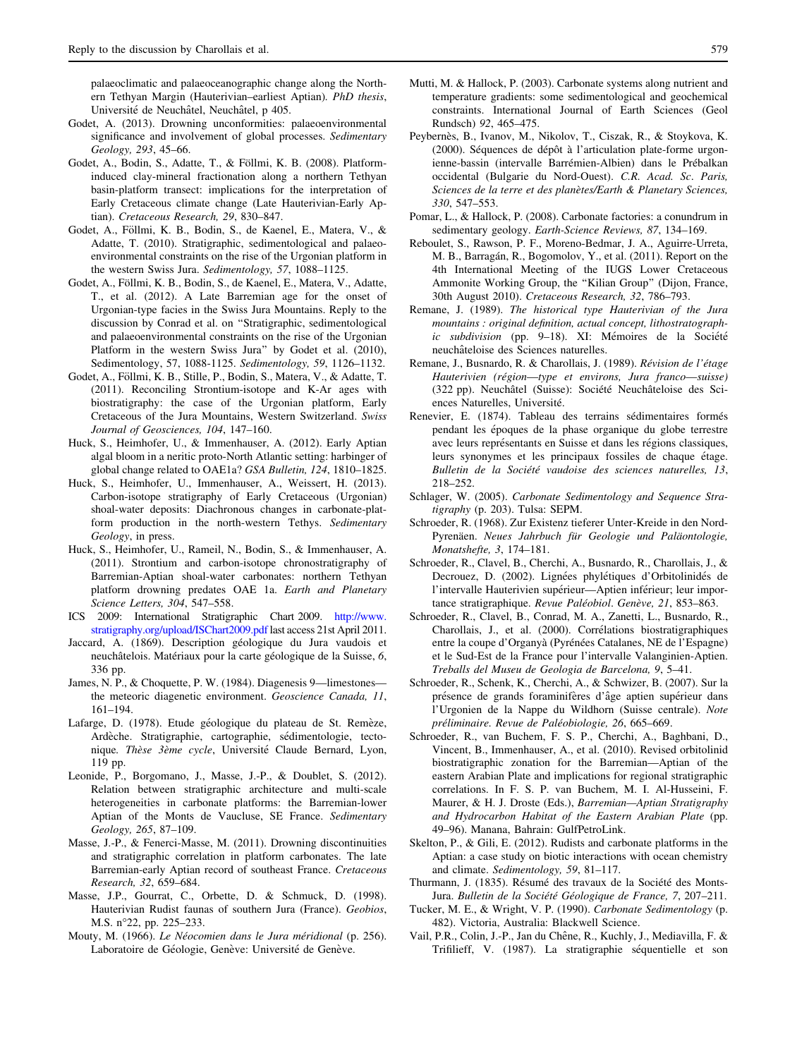<span id="page-10-0"></span>palaeoclimatic and palaeoceanographic change along the Northern Tethyan Margin (Hauterivian–earliest Aptian). PhD thesis, Université de Neuchâtel, Neuchâtel, p 405.

- Godet, A. (2013). Drowning unconformities: palaeoenvironmental significance and involvement of global processes. Sedimentary Geology, 293, 45–66.
- Godet, A., Bodin, S., Adatte, T., & Föllmi, K. B. (2008). Platforminduced clay-mineral fractionation along a northern Tethyan basin-platform transect: implications for the interpretation of Early Cretaceous climate change (Late Hauterivian-Early Aptian). Cretaceous Research, 29, 830–847.
- Godet, A., Föllmi, K. B., Bodin, S., de Kaenel, E., Matera, V., & Adatte, T. (2010). Stratigraphic, sedimentological and palaeoenvironmental constraints on the rise of the Urgonian platform in the western Swiss Jura. Sedimentology, 57, 1088–1125.
- Godet, A., Föllmi, K. B., Bodin, S., de Kaenel, E., Matera, V., Adatte, T., et al. (2012). A Late Barremian age for the onset of Urgonian-type facies in the Swiss Jura Mountains. Reply to the discussion by Conrad et al. on ''Stratigraphic, sedimentological and palaeoenvironmental constraints on the rise of the Urgonian Platform in the western Swiss Jura'' by Godet et al. (2010), Sedimentology, 57, 1088-1125. Sedimentology, 59, 1126–1132.
- Godet, A., Föllmi, K. B., Stille, P., Bodin, S., Matera, V., & Adatte, T. (2011). Reconciling Strontium-isotope and K-Ar ages with biostratigraphy: the case of the Urgonian platform, Early Cretaceous of the Jura Mountains, Western Switzerland. Swiss Journal of Geosciences, 104, 147–160.
- Huck, S., Heimhofer, U., & Immenhauser, A. (2012). Early Aptian algal bloom in a neritic proto-North Atlantic setting: harbinger of global change related to OAE1a? GSA Bulletin, 124, 1810–1825.
- Huck, S., Heimhofer, U., Immenhauser, A., Weissert, H. (2013). Carbon-isotope stratigraphy of Early Cretaceous (Urgonian) shoal-water deposits: Diachronous changes in carbonate-platform production in the north-western Tethys. Sedimentary Geology, in press.
- Huck, S., Heimhofer, U., Rameil, N., Bodin, S., & Immenhauser, A. (2011). Strontium and carbon-isotope chronostratigraphy of Barremian-Aptian shoal-water carbonates: northern Tethyan platform drowning predates OAE 1a. Earth and Planetary Science Letters, 304, 547–558.
- ICS 2009: International Stratigraphic Chart 2009. [http://www.](http://www.stratigraphy.org/upload/ISChart2009.pdf) [stratigraphy.org/upload/ISChart2009.pdf](http://www.stratigraphy.org/upload/ISChart2009.pdf) last access 21st April 2011.
- Jaccard, A. (1869). Description géologique du Jura vaudois et neuchâtelois. Matériaux pour la carte géologique de la Suisse, 6, 336 pp.
- James, N. P., & Choquette, P. W. (1984). Diagenesis 9—limestones the meteoric diagenetic environment. Geoscience Canada, 11, 161–194.
- Lafarge, D. (1978). Etude géologique du plateau de St. Remèze, Ardèche. Stratigraphie, cartographie, sédimentologie, tectonique. Thèse 3ème cycle, Université Claude Bernard, Lyon, 119 pp.
- Leonide, P., Borgomano, J., Masse, J.-P., & Doublet, S. (2012). Relation between stratigraphic architecture and multi-scale heterogeneities in carbonate platforms: the Barremian-lower Aptian of the Monts de Vaucluse, SE France. Sedimentary Geology, 265, 87–109.
- Masse, J.-P., & Fenerci-Masse, M. (2011). Drowning discontinuities and stratigraphic correlation in platform carbonates. The late Barremian-early Aptian record of southeast France. Cretaceous Research, 32, 659–684.
- Masse, J.P., Gourrat, C., Orbette, D. & Schmuck, D. (1998). Hauterivian Rudist faunas of southern Jura (France). Geobios, M.S. n°22, pp. 225–233.
- Mouty, M. (1966). Le Néocomien dans le Jura méridional (p. 256). Laboratoire de Géologie, Genève: Université de Genève.
- Mutti, M. & Hallock, P. (2003). Carbonate systems along nutrient and temperature gradients: some sedimentological and geochemical constraints. International Journal of Earth Sciences (Geol Rundsch) 92, 465–475.
- Peybernès, B., Ivanov, M., Nikolov, T., Ciszak, R., & Stoykova, K. (2000). Séquences de dépôt à l'articulation plate-forme urgonienne-bassin (intervalle Barrémien-Albien) dans le Prébalkan occidental (Bulgarie du Nord-Ouest). C.R. Acad. Sc. Paris, Sciences de la terre et des planètes/Earth & Planetary Sciences, 330, 547–553.
- Pomar, L., & Hallock, P. (2008). Carbonate factories: a conundrum in sedimentary geology. Earth-Science Reviews, 87, 134–169.
- Reboulet, S., Rawson, P. F., Moreno-Bedmar, J. A., Aguirre-Urreta, M. B., Barragán, R., Bogomolov, Y., et al. (2011). Report on the 4th International Meeting of the IUGS Lower Cretaceous Ammonite Working Group, the ''Kilian Group'' (Dijon, France, 30th August 2010). Cretaceous Research, 32, 786–793.
- Remane, J. (1989). The historical type Hauterivian of the Jura mountains : original definition, actual concept, lithostratographic subdivision (pp. 9-18). XI: Mémoires de la Société neuchâteloise des Sciences naturelles.
- Remane, J., Busnardo, R. & Charollais, J. (1989). Révision de l'étage Hauterivien (région—type et environs, Jura franco—suisse) (322 pp). Neuchâtel (Suisse): Société Neuchâteloise des Sciences Naturelles, Université.
- Renevier, E. (1874). Tableau des terrains sédimentaires formés pendant les époques de la phase organique du globe terrestre avec leurs représentants en Suisse et dans les régions classiques, leurs synonymes et les principaux fossiles de chaque étage. Bulletin de la Société vaudoise des sciences naturelles, 13, 218–252.
- Schlager, W. (2005). Carbonate Sedimentology and Sequence Stratigraphy (p. 203). Tulsa: SEPM.
- Schroeder, R. (1968). Zur Existenz tieferer Unter-Kreide in den Nord-Pyrenäen. Neues Jahrbuch für Geologie und Paläontologie, Monatshefte, 3, 174–181.
- Schroeder, R., Clavel, B., Cherchi, A., Busnardo, R., Charollais, J., & Decrouez, D. (2002). Lignées phylétiques d'Orbitolinidés de l'intervalle Hauterivien supérieur—Aptien inférieur; leur importance stratigraphique. Revue Paléobiol. Genève, 21, 853-863.
- Schroeder, R., Clavel, B., Conrad, M. A., Zanetti, L., Busnardo, R., Charollais, J., et al. (2000). Corrélations biostratigraphiques entre la coupe d'Organyà (Pyrénées Catalanes, NE de l'Espagne) et le Sud-Est de la France pour l'intervalle Valanginien-Aptien. Treballs del Museu de Geologia de Barcelona, 9, 5–41.
- Schroeder, R., Schenk, K., Cherchi, A., & Schwizer, B. (2007). Sur la présence de grands foraminifères d'âge aptien supérieur dans l'Urgonien de la Nappe du Wildhorn (Suisse centrale). Note préliminaire. Revue de Paléobiologie, 26, 665–669.
- Schroeder, R., van Buchem, F. S. P., Cherchi, A., Baghbani, D., Vincent, B., Immenhauser, A., et al. (2010). Revised orbitolinid biostratigraphic zonation for the Barremian—Aptian of the eastern Arabian Plate and implications for regional stratigraphic correlations. In F. S. P. van Buchem, M. I. Al-Husseini, F. Maurer, & H. J. Droste (Eds.), Barremian—Aptian Stratigraphy and Hydrocarbon Habitat of the Eastern Arabian Plate (pp. 49–96). Manana, Bahrain: GulfPetroLink.
- Skelton, P., & Gili, E. (2012). Rudists and carbonate platforms in the Aptian: a case study on biotic interactions with ocean chemistry and climate. Sedimentology, 59, 81–117.
- Thurmann, J. (1835). Résumé des travaux de la Société des Monts-Jura. Bulletin de la Société Géologique de France, 7, 207–211.
- Tucker, M. E., & Wright, V. P. (1990). Carbonate Sedimentology (p. 482). Victoria, Australia: Blackwell Science.
- Vail, P.R., Colin, J.-P., Jan du Chêne, R., Kuchly, J., Mediavilla, F. & Trifilieff, V. (1987). La stratigraphie séquentielle et son